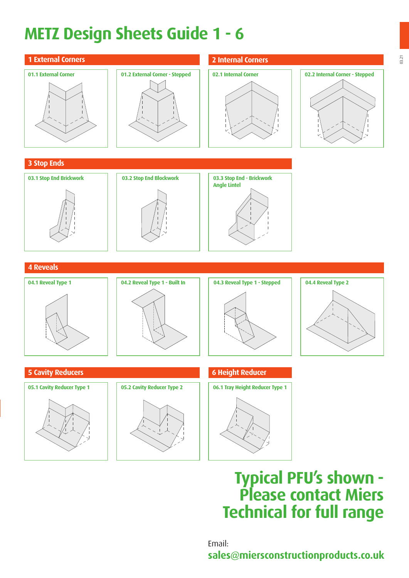# **METZ Design Sheets Guide 1 - 6**

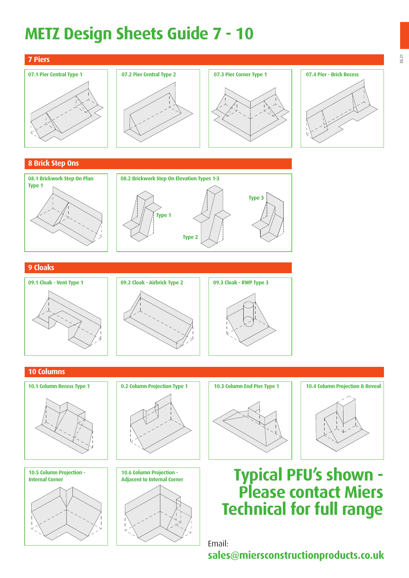## **METZ Design Sheets Guide 7 - 10**

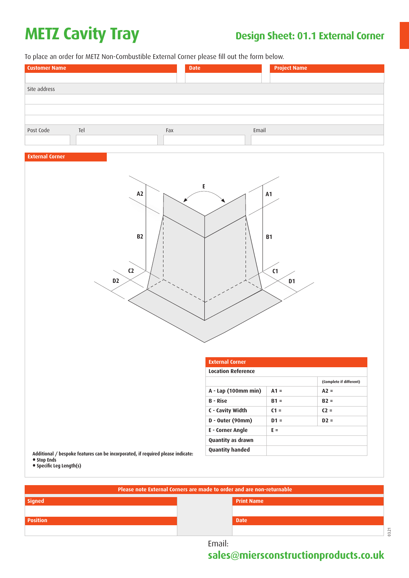# **METZ Cavity Tray Design Sheet: 01.1 External Corner**

To place an order for METZ Non-Combustible External Corner please fill out the form below.

| <b>Customer Name</b>              |     | <b>Date</b> | <b>Project Name</b> |
|-----------------------------------|-----|-------------|---------------------|
|                                   |     |             |                     |
| Site address                      |     |             |                     |
|                                   |     |             |                     |
|                                   |     |             |                     |
|                                   |     |             |                     |
| Post Code                         | Tel | Fax         | Email               |
|                                   |     |             |                     |
| the control of the control of the |     |             |                     |

### **External Corner**



|                                                                                 | <b>External Corner</b>    |        |                         |
|---------------------------------------------------------------------------------|---------------------------|--------|-------------------------|
|                                                                                 | <b>Location Reference</b> |        |                         |
|                                                                                 |                           |        | (Complete if different) |
|                                                                                 | A - Lap (100mm min)       | $A1 =$ | $A2 =$                  |
|                                                                                 | <b>B</b> - Rise           | $B1 =$ | $B2 =$                  |
|                                                                                 | C - Cavity Width          | $C1 =$ | $C2 =$                  |
|                                                                                 | D - Outer (90mm)          | $D1 =$ | $D2 =$                  |
|                                                                                 | E - Corner Angle          | $E =$  |                         |
|                                                                                 | <b>Quantity as drawn</b>  |        |                         |
| Additional / bespoke features can be incorporated, if required please indicate: | <b>Quantity handed</b>    |        |                         |

**• Specific Leg Length(s)**

| Please note External Corners are made to order and are non-returnable |                   |  |  |  |
|-----------------------------------------------------------------------|-------------------|--|--|--|
| Signed                                                                | <b>Print Name</b> |  |  |  |
|                                                                       |                   |  |  |  |
| <b>Position</b>                                                       | <b>Date</b>       |  |  |  |
|                                                                       | 3.21              |  |  |  |

Email: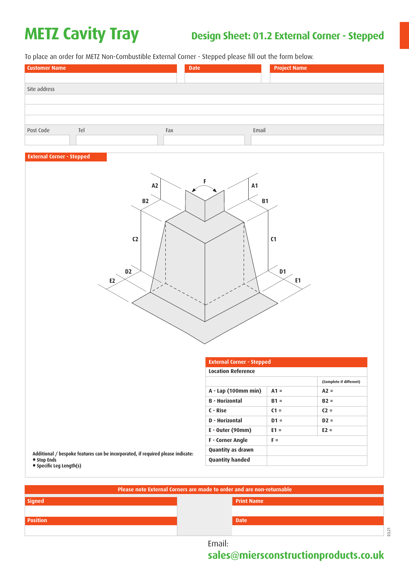## **METZ Cavity Tray Design Sheet: 01.2 External Corner - Stepped**

To place an order for METZ Non-Combustible External Corner - Stepped please fill out the form below.

| <b>Customer Name</b> |     |     | <b>Date</b> |       | <b>Project Name</b> |
|----------------------|-----|-----|-------------|-------|---------------------|
|                      |     |     |             |       |                     |
| Site address         |     |     |             |       |                     |
|                      |     |     |             |       |                     |
|                      |     |     |             |       |                     |
|                      |     |     |             |       |                     |
| Post Code            | Tel | Fax |             | Email |                     |
|                      |     |     |             |       |                     |

### **External Corner - Stepped**



|                                                                                                                            | <b>External Corner - Stepped</b> |        |                         |
|----------------------------------------------------------------------------------------------------------------------------|----------------------------------|--------|-------------------------|
|                                                                                                                            | <b>Location Reference</b>        |        |                         |
|                                                                                                                            |                                  |        | (Complete if different) |
|                                                                                                                            | A - Lap (100mm min)              | $A1 =$ | $A2 =$                  |
|                                                                                                                            | <b>B</b> - Horizontal            | $B1 =$ | $B2 =$                  |
|                                                                                                                            | C - Rise                         | $C1 =$ | $C2 =$                  |
|                                                                                                                            | D - Horizontal                   | $D1 =$ | $D2 =$                  |
|                                                                                                                            | $E -$ Outer (90mm)               | $E1 =$ | $E2 =$                  |
|                                                                                                                            | <b>F</b> - Corner Angle          | $F =$  |                         |
| Additional / bespoke features can be incorporated, if required please indicate:<br>• Stop Ends<br>• Specific Leg Length(s) | <b>Quantity as drawn</b>         |        |                         |
|                                                                                                                            | <b>Quantity handed</b>           |        |                         |

**Signed Position Please note External Corners are made to order and are non-returnable Print Name Date**

Email: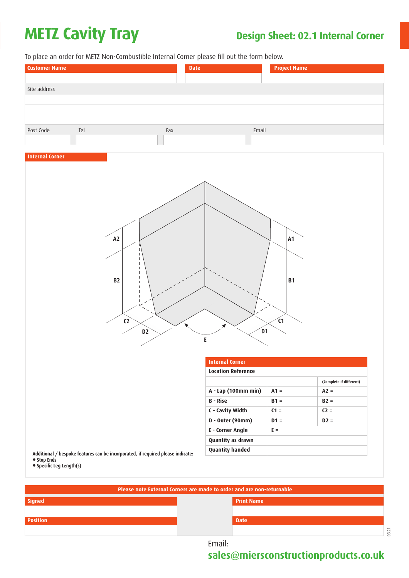# **METZ Cavity Tray** Design Sheet: 02.1 Internal Corner

**Position**

To place an order for METZ Non-Combustible Internal Corner please fill out the form below.



03.21 **Date**

Email: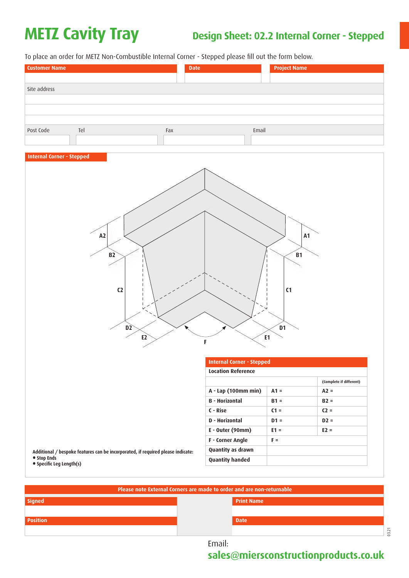## **METZ Cavity Tray Design Sheet: 02.2 Internal Corner - Stepped**

To place an order for METZ Non-Combustible Internal Corner - Stepped please fill out the form below.

| <b>Customer Name</b> |     |     | <b>Date</b> |       | <b>Project Name</b> |
|----------------------|-----|-----|-------------|-------|---------------------|
|                      |     |     |             |       |                     |
| Site address         |     |     |             |       |                     |
|                      |     |     |             |       |                     |
|                      |     |     |             |       |                     |
|                      |     |     |             |       |                     |
| Post Code            | Tel | Fax |             | Email |                     |
|                      |     |     |             |       |                     |

### **Internal Corner - Stepped**



|                                                                                                                            | <b>Internal Corner - Stepped</b> |        |                         |  |
|----------------------------------------------------------------------------------------------------------------------------|----------------------------------|--------|-------------------------|--|
|                                                                                                                            | <b>Location Reference</b>        |        |                         |  |
|                                                                                                                            |                                  |        | (Complete if different) |  |
|                                                                                                                            | A - Lap (100mm min)              | $A1 =$ | $A2 =$                  |  |
|                                                                                                                            | <b>B</b> - Horizontal            | $B1 =$ | $B2 =$                  |  |
|                                                                                                                            | C - Rise                         | $C1 =$ | $C2 =$                  |  |
|                                                                                                                            | D - Horizontal                   | $D1 =$ | $D2 =$                  |  |
|                                                                                                                            | $E -$ Outer (90mm)               | $E1 =$ | $E2 =$                  |  |
|                                                                                                                            | <b>F</b> - Corner Angle          | $F =$  |                         |  |
| Additional / bespoke features can be incorporated, if required please indicate:<br>• Stop Ends<br>• Specific Leg Length(s) | <b>Quantity as drawn</b>         |        |                         |  |
|                                                                                                                            | <b>Quantity handed</b>           |        |                         |  |

| Please note External Corners are made to order and are non-returnable |             |  |  |  |
|-----------------------------------------------------------------------|-------------|--|--|--|
| Signed<br><b>Print Name</b>                                           |             |  |  |  |
|                                                                       |             |  |  |  |
| <b>Position</b>                                                       | <b>Date</b> |  |  |  |
|                                                                       | $\sim$      |  |  |  |

Email: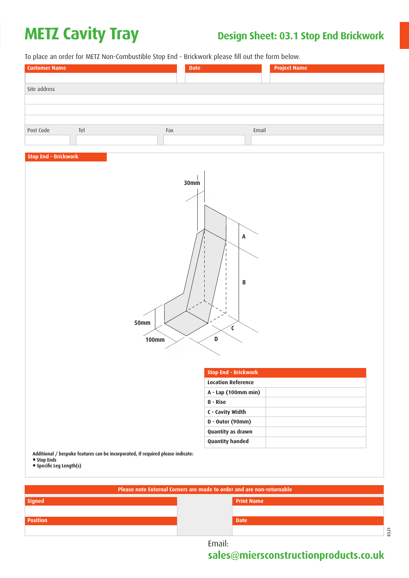# **METZ Cavity Tray Design Sheet: 03.1 Stop End Brickwork**

To place an order for METZ Non-Combustible Stop End - Brickwork please fill out the form below.

| <b>Customer Name</b> |     |     | <b>Date</b> |       | <b>Project Name</b> |
|----------------------|-----|-----|-------------|-------|---------------------|
|                      |     |     |             |       |                     |
| Site address         |     |     |             |       |                     |
|                      |     |     |             |       |                     |
|                      |     |     |             |       |                     |
|                      |     |     |             |       |                     |
| Post Code            | Tel | Fax |             | Email |                     |
|                      |     |     |             |       |                     |

### **Stop End - Brickwork**



**• Specific Leg Length(s)**

| Please note External Corners are made to order and are non-returnable |                   |  |  |
|-----------------------------------------------------------------------|-------------------|--|--|
| Signed                                                                | <b>Print Name</b> |  |  |
|                                                                       |                   |  |  |
| <b>Position</b>                                                       | <b>Date</b>       |  |  |
|                                                                       | 3.21              |  |  |

Email: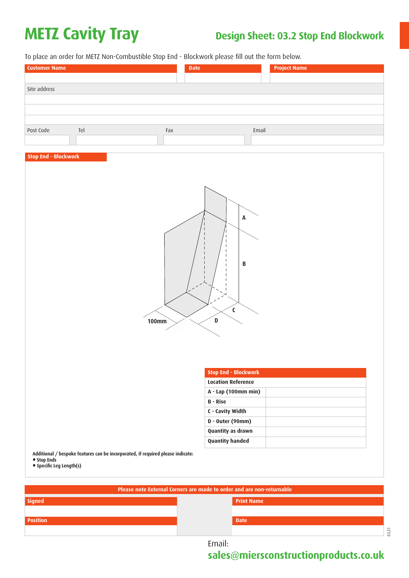## **METZ Cavity Tray Design Sheet: 03.2 Stop End Blockwork**

To place an order for METZ Non-Combustible Stop End - Blockwork please fill out the form below.

| <b>Customer Name</b> |     |     | <b>Date</b> |       | <b>Project Name</b> |
|----------------------|-----|-----|-------------|-------|---------------------|
|                      |     |     |             |       |                     |
| Site address         |     |     |             |       |                     |
|                      |     |     |             |       |                     |
|                      |     |     |             |       |                     |
|                      |     |     |             |       |                     |
| Post Code            | Tel | Fax |             | Email |                     |
|                      |     |     |             |       |                     |

### **Stop End - Blockwork**



| <b>Stop End - Blockwork</b> |  |
|-----------------------------|--|
| <b>Location Reference</b>   |  |
| A - Lap (100mm min)         |  |
| <b>B</b> - Rise             |  |
| C - Cavity Width            |  |
| D - Outer (90mm)            |  |
| Quantity as drawn           |  |
| <b>Quantity handed</b>      |  |

**Additional / bespoke features can be incorporated, if required please indicate:**

**• Stop Ends • Specific Leg Length(s)**

| Please note External Corners are made to order and are non-returnable |                   |
|-----------------------------------------------------------------------|-------------------|
| <b>Signed</b>                                                         | <b>Print Name</b> |
|                                                                       |                   |
|                                                                       |                   |
| <b>Position</b>                                                       | <b>Date</b>       |
|                                                                       |                   |
|                                                                       |                   |

Email:

**sales@miersconstructionproducts.co.uk**

03.21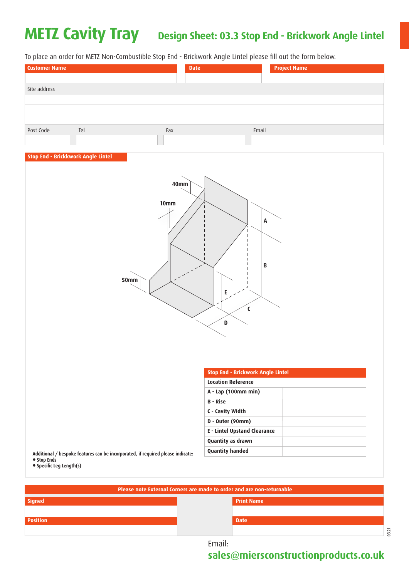### **METZ Cavity Tray Design Sheet: 03.3 Stop End - Brickwork Angle Lintel**

To place an order for METZ Non-Combustible Stop End - Brickwork Angle Lintel please fill out the form below.

| <b>Customer Name</b> |     |     | <b>Date</b> |       | <b>Project Name</b> |
|----------------------|-----|-----|-------------|-------|---------------------|
|                      |     |     |             |       |                     |
| Site address         |     |     |             |       |                     |
|                      |     |     |             |       |                     |
|                      |     |     |             |       |                     |
|                      |     |     |             |       |                     |
| Post Code            | Tel | Fax |             | Email |                     |
|                      |     |     |             |       |                     |

### **Stop End - Brickkwork Angle Lintel**



| <b>Stop End - Brickwork Angle Lintel</b> |  |
|------------------------------------------|--|
| <b>Location Reference</b>                |  |
| A - Lap (100mm min)                      |  |
| <b>B</b> - Rise                          |  |
| C - Cavity Width                         |  |
| D - Outer (90mm)                         |  |
| <b>E</b> - Lintel Upstand Clearance      |  |
| <b>Quantity as drawn</b>                 |  |
| <b>Quantity handed</b>                   |  |
|                                          |  |

**Additional / be • Stop Ends** 

**• Specific Leg Length(s)**

| Please note External Corners are made to order and are non-returnable |                   |  |
|-----------------------------------------------------------------------|-------------------|--|
| Signed <sup>1</sup>                                                   | <b>Print Name</b> |  |
|                                                                       |                   |  |
| <b>Position</b>                                                       | <b>Date</b>       |  |
|                                                                       | $\sim$<br>$\sim$  |  |

Email: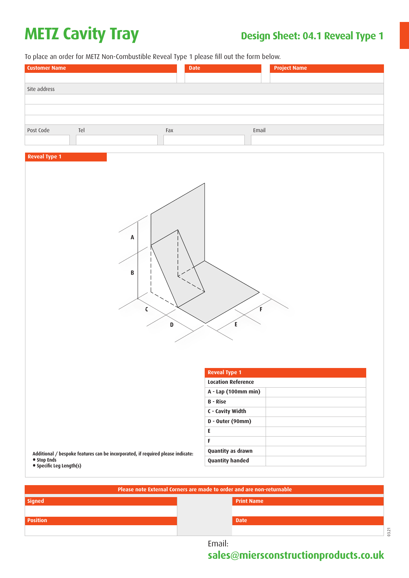# **METZ Cavity Tray Design Sheet: 04.1 Reveal Type 1**

To place an order for METZ Non-Combustible Reveal Type 1 please fill out the form below.

| To place an order for METZ Non-Combustible Reveal Type 1 please fill out the form below.<br><b>Customer Name</b><br><b>Date</b> | <b>Project Name</b>                    |
|---------------------------------------------------------------------------------------------------------------------------------|----------------------------------------|
|                                                                                                                                 |                                        |
| Site address                                                                                                                    |                                        |
|                                                                                                                                 |                                        |
|                                                                                                                                 |                                        |
|                                                                                                                                 |                                        |
| Post Code<br>Tel<br>$Fax$                                                                                                       | Email                                  |
|                                                                                                                                 |                                        |
|                                                                                                                                 |                                        |
| <b>Reveal Type 1</b>                                                                                                            |                                        |
|                                                                                                                                 |                                        |
|                                                                                                                                 |                                        |
|                                                                                                                                 |                                        |
|                                                                                                                                 |                                        |
|                                                                                                                                 |                                        |
|                                                                                                                                 |                                        |
|                                                                                                                                 |                                        |
| $\pmb{\mathsf{A}}$                                                                                                              |                                        |
|                                                                                                                                 |                                        |
|                                                                                                                                 |                                        |
| $\pmb B$                                                                                                                        |                                        |
|                                                                                                                                 |                                        |
|                                                                                                                                 |                                        |
|                                                                                                                                 |                                        |
| C                                                                                                                               | F                                      |
|                                                                                                                                 |                                        |
| D                                                                                                                               | E                                      |
|                                                                                                                                 |                                        |
|                                                                                                                                 |                                        |
|                                                                                                                                 |                                        |
|                                                                                                                                 |                                        |
|                                                                                                                                 | <b>Reveal Type 1</b>                   |
|                                                                                                                                 | <b>Location Reference</b>              |
|                                                                                                                                 | A - Lap (100mm min)<br><b>B</b> - Rise |
|                                                                                                                                 |                                        |
|                                                                                                                                 | C - Cavity Width                       |
|                                                                                                                                 | D - Outer (90mm)                       |
|                                                                                                                                 | E<br>F                                 |
|                                                                                                                                 | Quantity as drawn                      |
| Additional / bespoke features can be incorporated, if required please indicate:<br>• Stop Ends                                  |                                        |
| • Specific Leg Length(s)                                                                                                        | <b>Quantity handed</b>                 |

| Please note External Corners are made to order and are non-returnable |                   |  |
|-----------------------------------------------------------------------|-------------------|--|
| <b>Signed</b>                                                         | <b>Print Name</b> |  |
|                                                                       |                   |  |
| <b>Position</b>                                                       | <b>Date</b>       |  |
|                                                                       | $\sim$            |  |

Email: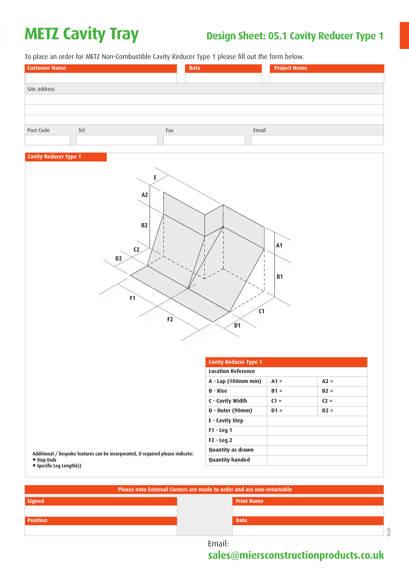## **METZ Cavity Tray** Design Sheet: 05.1 Cavity Reducer Type 1

To place an order for METZ Non-Combustible Cavity Reducer Type 1 please fill out the form below.

| <b>Customer Name</b>         |     | <b>Date</b> | <b>Project Name</b> |
|------------------------------|-----|-------------|---------------------|
|                              |     |             |                     |
| Site address                 |     |             |                     |
|                              |     |             |                     |
|                              |     |             |                     |
|                              |     |             |                     |
| Post Code                    | Tel | Fax         | Email               |
|                              |     |             |                     |
|                              |     |             |                     |
| <b>Cavity Reducer Type 1</b> |     |             |                     |



|                                                                                 | <b>Cavity Reducer Type 1</b> |        |        |
|---------------------------------------------------------------------------------|------------------------------|--------|--------|
|                                                                                 | <b>Location Reference</b>    |        |        |
|                                                                                 | A - Lap (100mm min)          | $A1 =$ | $A2 =$ |
|                                                                                 | <b>B</b> - Rise              | $B1 =$ | $B2 =$ |
|                                                                                 | C - Cavity Width             | $C1 =$ | $C2 =$ |
|                                                                                 | D - Outer (90mm)             | $D1 =$ | $D2 =$ |
|                                                                                 | E - Cavity Step              |        |        |
|                                                                                 | $F1 - Leg1$                  |        |        |
|                                                                                 | $F2 - Leg2$                  |        |        |
| Additional / bespoke features can be incorporated, if required please indicate: | <b>Quantity as drawn</b>     |        |        |
| • Stop Ends<br>• Specific Leg Length(s)                                         | <b>Quantity handed</b>       |        |        |

**Signed Position Please note External Corners are made to order and are non-returnable Print Name Date**

Email: